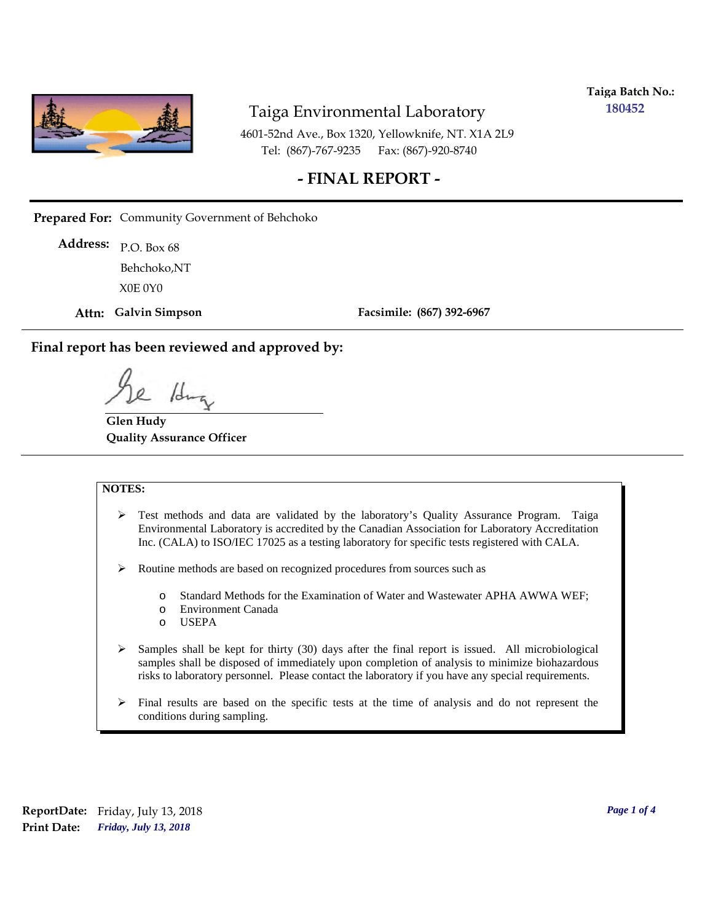

**Taiga Batch No.: 180452**

4601-52nd Ave., Box 1320, Yellowknife, NT. X1A 2L9 Tel: (867)-767-9235 Fax: (867)-920-8740

### **- FINAL REPORT -**

**Prepared For:** Community Government of Behchoko

P.O. Box 68 **Address:** X0E 0Y0 Behchoko,NT

**Attn: Galvin Simpson**

**Facsimile: (867) 392-6967**

**Final report has been reviewed and approved by:**

/J

**Glen Hudy Quality Assurance Officer**

#### **NOTES:**

- $\triangleright$  Test methods and data are validated by the laboratory's Quality Assurance Program. Taiga Environmental Laboratory is accredited by the Canadian Association for Laboratory Accreditation Inc. (CALA) to ISO/IEC 17025 as a testing laboratory for specific tests registered with CALA.
- Routine methods are based on recognized procedures from sources such as
	- o Standard Methods for the Examination of Water and Wastewater APHA AWWA WEF;
	- o Environment Canada
	- o USEPA
- $\triangleright$  Samples shall be kept for thirty (30) days after the final report is issued. All microbiological samples shall be disposed of immediately upon completion of analysis to minimize biohazardous risks to laboratory personnel. Please contact the laboratory if you have any special requirements.
- $\triangleright$  Final results are based on the specific tests at the time of analysis and do not represent the conditions during sampling.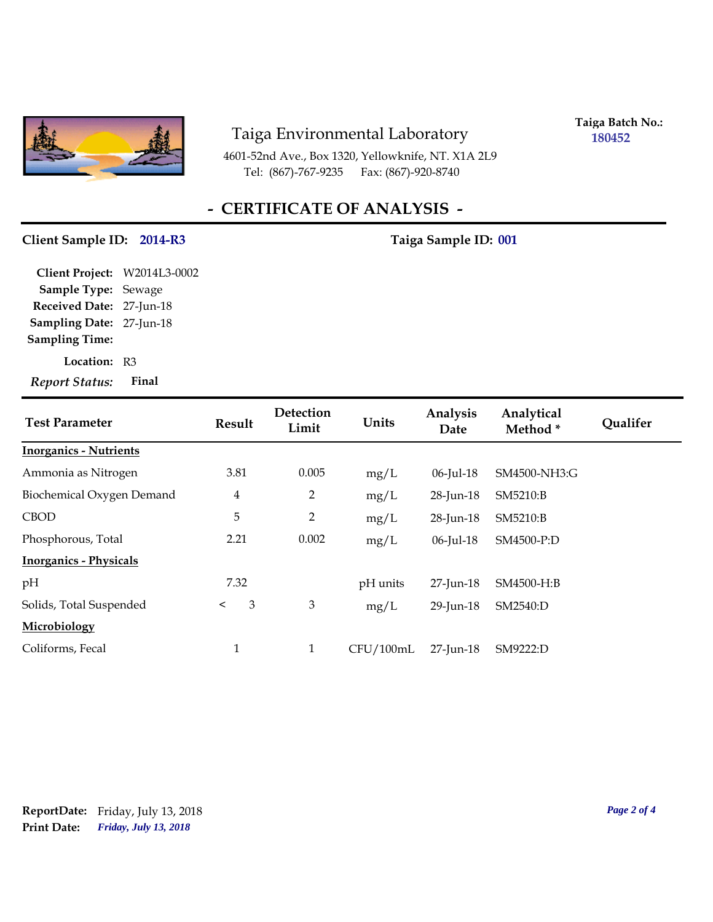

4601-52nd Ave., Box 1320, Yellowknife, NT. X1A 2L9 Tel: (867)-767-9235 Fax: (867)-920-8740

**Taiga Batch No.: 180452**

# **- CERTIFICATE OF ANALYSIS -**

#### **Client Sample ID: 2014-R3 Taiga Sample ID: 001**

**Location:** R3 **Sampling Date:** 27-Jun-18 **Received Date:** 27-Jun-18 **Client Project:** W2014L3-0002 **Sample Type:** Sewage **Sampling Time:** *Report Status:* **Final**

| <b>Test Parameter</b>         | Result         | Detection<br>Limit | Units     | Analysis<br>Date | Analytical<br>Method <sup>*</sup> | <b>Qualifer</b> |
|-------------------------------|----------------|--------------------|-----------|------------------|-----------------------------------|-----------------|
| <b>Inorganics - Nutrients</b> |                |                    |           |                  |                                   |                 |
| Ammonia as Nitrogen           | 3.81           | 0.005              | mg/L      | $06$ -Jul-18     | SM4500-NH3:G                      |                 |
| Biochemical Oxygen Demand     | $\overline{4}$ | $\overline{2}$     | mg/L      | 28-Jun-18        | SM5210:B                          |                 |
| <b>CBOD</b>                   | 5              | $\overline{2}$     | mg/L      | 28-Jun-18        | SM5210:B                          |                 |
| Phosphorous, Total            | 2.21           | 0.002              | mg/L      | $06$ -Jul-18     | SM4500-P:D                        |                 |
| <b>Inorganics - Physicals</b> |                |                    |           |                  |                                   |                 |
| pH                            | 7.32           |                    | pH units  | 27-Jun-18        | SM4500-H:B                        |                 |
| Solids, Total Suspended       | 3<br>$\lt$     | $\mathfrak{Z}$     | mg/L      | 29-Jun-18        | SM2540:D                          |                 |
| Microbiology                  |                |                    |           |                  |                                   |                 |
| Coliforms, Fecal              | $\mathbf{1}$   | $\mathbf{1}$       | CFU/100mL | $27$ -Jun-18     | SM9222:D                          |                 |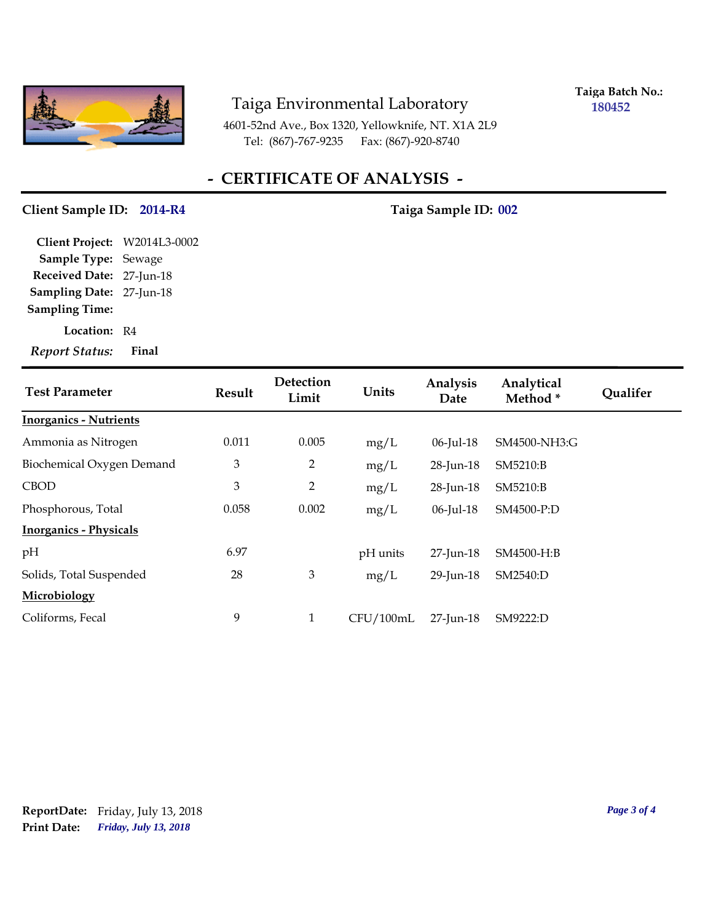

**Taiga Batch No.: 180452**

4601-52nd Ave., Box 1320, Yellowknife, NT. X1A 2L9 Tel: (867)-767-9235 Fax: (867)-920-8740

# **- CERTIFICATE OF ANALYSIS -**

#### **Client Sample ID: 2014-R4 Taiga Sample ID: 002**

**Location:** R4 **Sampling Date:** 27-Jun-18 **Received Date:** 27-Jun-18 **Client Project:** W2014L3-0002 **Sample Type:** Sewage **Sampling Time:**

*Report Status:* **Final**

| <b>Test Parameter</b>         | <b>Result</b>  | Detection<br>Limit | Units     | Analysis<br>Date | Analytical<br>Method * | <b>Qualifer</b> |
|-------------------------------|----------------|--------------------|-----------|------------------|------------------------|-----------------|
| <b>Inorganics - Nutrients</b> |                |                    |           |                  |                        |                 |
| Ammonia as Nitrogen           | 0.011          | 0.005              | mg/L      | 06-Jul-18        | SM4500-NH3:G           |                 |
| Biochemical Oxygen Demand     | $\mathfrak{Z}$ | 2                  | mg/L      | 28-Jun-18        | SM5210:B               |                 |
| <b>CBOD</b>                   | $\mathfrak{Z}$ | $\overline{2}$     | mg/L      | 28-Jun-18        | SM5210:B               |                 |
| Phosphorous, Total            | 0.058          | 0.002              | mg/L      | $06$ -Jul-18     | SM4500-P:D             |                 |
| <b>Inorganics - Physicals</b> |                |                    |           |                  |                        |                 |
| pH                            | 6.97           |                    | pH units  | 27-Jun-18        | SM4500-H:B             |                 |
| Solids, Total Suspended       | 28             | $\mathfrak{Z}$     | mg/L      | 29-Jun-18        | SM2540:D               |                 |
| Microbiology                  |                |                    |           |                  |                        |                 |
| Coliforms, Fecal              | 9              | $\mathbf{1}$       | CFU/100mL | 27-Jun-18        | SM9222:D               |                 |